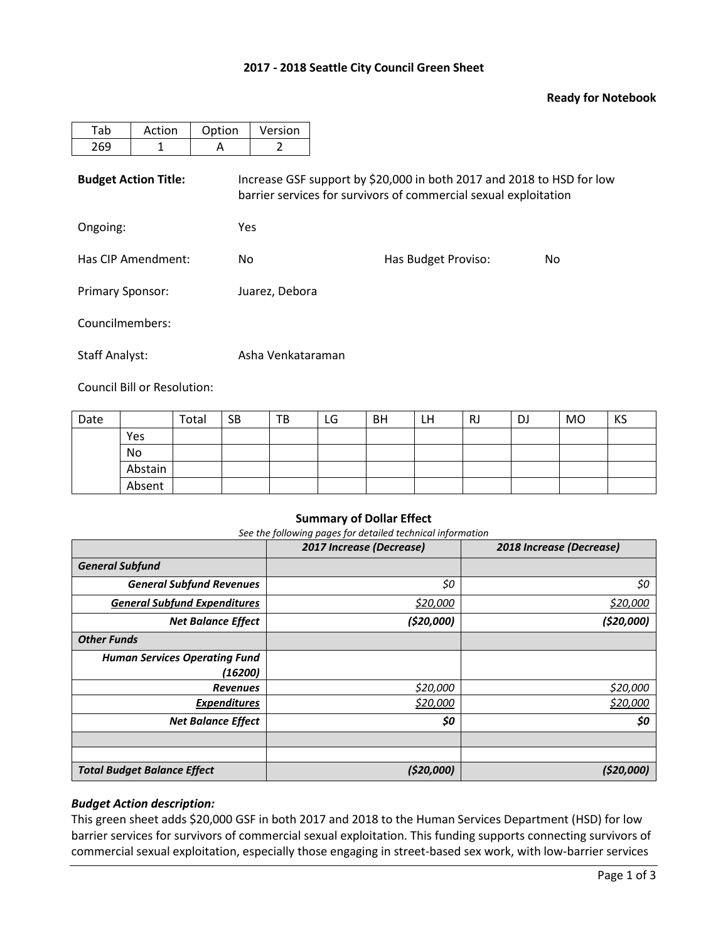## **2017 - 2018 Seattle City Council Green Sheet**

### **Ready for Notebook**

| Tab<br>Action               |  | Option | Version |                                                                                                                                           |    |
|-----------------------------|--|--------|---------|-------------------------------------------------------------------------------------------------------------------------------------------|----|
| 269<br>А                    |  |        |         |                                                                                                                                           |    |
| <b>Budget Action Title:</b> |  |        |         | Increase GSF support by \$20,000 in both 2017 and 2018 to HSD for low<br>barrier services for survivors of commercial sexual exploitation |    |
| Ongoing:                    |  | Yes    |         |                                                                                                                                           |    |
| Has CIP Amendment:          |  |        | No      | Has Budget Proviso:                                                                                                                       | No |

Primary Sponsor: Juarez, Debora

Councilmembers:

Staff Analyst: Asha Venkataraman

Council Bill or Resolution:

| Date |         | Total | <b>SB</b> | TB | LG | <b>BH</b> | LH | RJ | DJ | <b>MO</b> | KS |
|------|---------|-------|-----------|----|----|-----------|----|----|----|-----------|----|
|      | Yes     |       |           |    |    |           |    |    |    |           |    |
|      | No      |       |           |    |    |           |    |    |    |           |    |
|      | Abstain |       |           |    |    |           |    |    |    |           |    |
|      | Absent  |       |           |    |    |           |    |    |    |           |    |

#### **Summary of Dollar Effect**

*See the following pages for detailed technical information*

|                                      | 2017 Increase (Decrease) | 2018 Increase (Decrease) |
|--------------------------------------|--------------------------|--------------------------|
| <b>General Subfund</b>               |                          |                          |
| <b>General Subfund Revenues</b>      | \$0                      | \$0                      |
| <b>General Subfund Expenditures</b>  | \$20,000                 | \$20,000                 |
| <b>Net Balance Effect</b>            | (520,000)                | (\$20,000]               |
| <b>Other Funds</b>                   |                          |                          |
| <b>Human Services Operating Fund</b> |                          |                          |
| (16200)                              |                          |                          |
| <b>Revenues</b>                      | \$20,000                 | \$20,000                 |
| <b>Expenditures</b>                  | \$20,000                 | \$20,000                 |
| <b>Net Balance Effect</b>            | \$0                      | \$0                      |
|                                      |                          |                          |
|                                      |                          |                          |
| <b>Total Budget Balance Effect</b>   | (520,000)                | (\$20,000)               |

## *Budget Action description:*

This green sheet adds \$20,000 GSF in both 2017 and 2018 to the Human Services Department (HSD) for low barrier services for survivors of commercial sexual exploitation. This funding supports connecting survivors of commercial sexual exploitation, especially those engaging in street-based sex work, with low-barrier services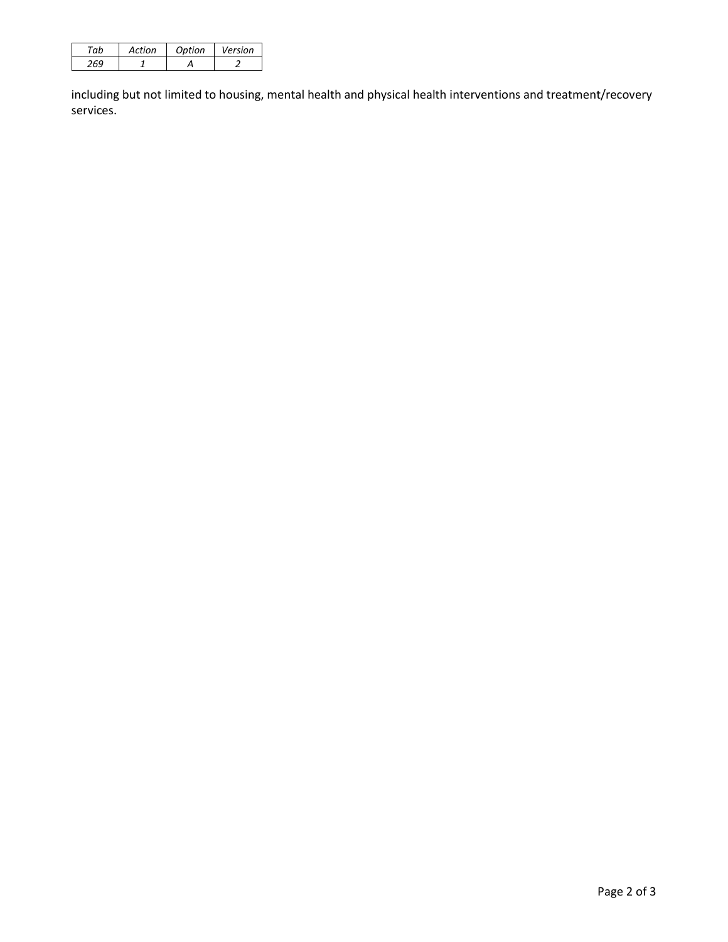| Action | Ontion | Version |
|--------|--------|---------|
|        |        |         |

including but not limited to housing, mental health and physical health interventions and treatment/recovery services.